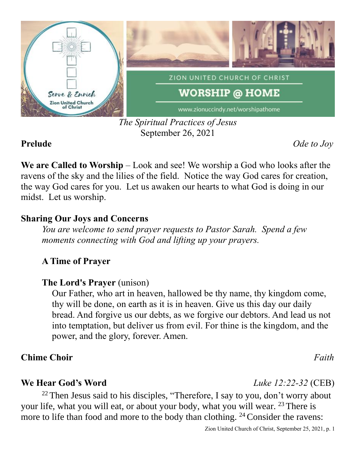

### *The Spiritual Practices of Jesus* September 26, 2021

**Prelude** *Ode to Joy*

**We are Called to Worship** – Look and see! We worship a God who looks after the ravens of the sky and the lilies of the field. Notice the way God cares for creation, the way God cares for you. Let us awaken our hearts to what God is doing in our midst. Let us worship.

## **Sharing Our Joys and Concerns**

*You are welcome to send prayer requests to Pastor Sarah. Spend a few moments connecting with God and lifting up your prayers.*

# **A Time of Prayer**

# **The Lord's Prayer** (unison)

Our Father, who art in heaven, hallowed be thy name, thy kingdom come, thy will be done, on earth as it is in heaven. Give us this day our daily bread. And forgive us our debts, as we forgive our debtors. And lead us not into temptation, but deliver us from evil. For thine is the kingdom, and the power, and the glory, forever. Amen.

# **Chime Choir** *Faith*

## **We Hear God's Word** *Luke 12:22-32* (CEB)

<sup>22</sup> Then Jesus said to his disciples, "Therefore, I say to you, don't worry about your life, what you will eat, or about your body, what you will wear. <sup>23</sup> There is more to life than food and more to the body than clothing.  $24$  Consider the ravens: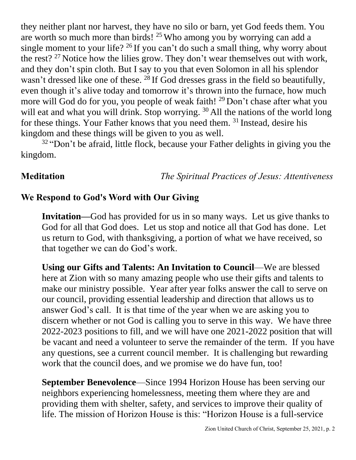they neither plant nor harvest, they have no silo or barn, yet God feeds them. You are worth so much more than birds!  $25$  Who among you by worrying can add a single moment to your life?  $26$  If you can't do such a small thing, why worry about the rest?  $27$  Notice how the lilies grow. They don't wear themselves out with work, and they don't spin cloth. But I say to you that even Solomon in all his splendor wasn't dressed like one of these. <sup>28</sup> If God dresses grass in the field so beautifully, even though it's alive today and tomorrow it's thrown into the furnace, how much more will God do for you, you people of weak faith! <sup>29</sup> Don't chase after what you will eat and what you will drink. Stop worrying. <sup>30</sup> All the nations of the world long for these things. Your Father knows that you need them. <sup>31</sup> Instead, desire his kingdom and these things will be given to you as well.

<sup>32</sup> "Don't be afraid, little flock, because your Father delights in giving you the kingdom.

**Meditation** *The Spiritual Practices of Jesus: Attentiveness*

### **We Respond to God's Word with Our Giving**

**Invitation—**God has provided for us in so many ways. Let us give thanks to God for all that God does. Let us stop and notice all that God has done. Let us return to God, with thanksgiving, a portion of what we have received, so that together we can do God's work.

**Using our Gifts and Talents: An Invitation to Council**—We are blessed here at Zion with so many amazing people who use their gifts and talents to make our ministry possible. Year after year folks answer the call to serve on our council, providing essential leadership and direction that allows us to answer God's call. It is that time of the year when we are asking you to discern whether or not God is calling you to serve in this way. We have three 2022-2023 positions to fill, and we will have one 2021-2022 position that will be vacant and need a volunteer to serve the remainder of the term. If you have any questions, see a current council member. It is challenging but rewarding work that the council does, and we promise we do have fun, too!

**September Benevolence**—Since 1994 Horizon House has been serving our neighbors experiencing homelessness, meeting them where they are and providing them with shelter, safety, and services to improve their quality of life. The mission of Horizon House is this: "Horizon House is a full-service